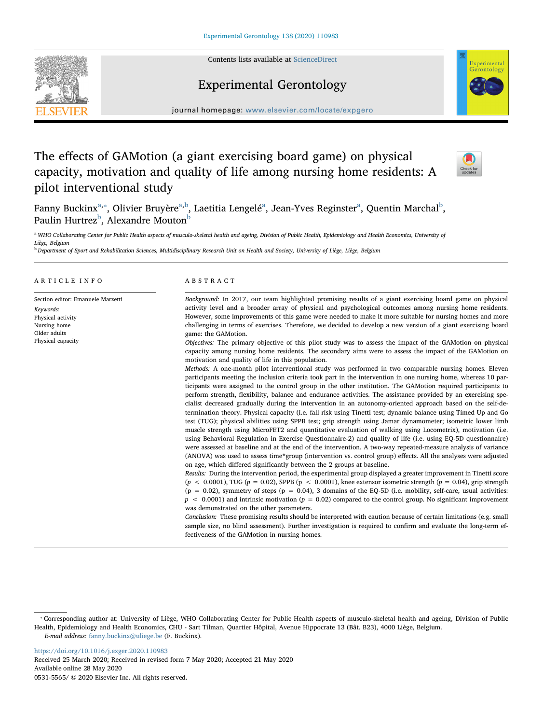Contents lists available at [ScienceDirect](http://www.sciencedirect.com/science/journal/05315565)

# Experimental Gerontology

 $j$ ournal homepage: www.elsevier.com/locate/expansion.com/locate/expansion.com/locate/expansion.com/locate/expansion.com/locate/expansion.com/locate/expansion.com/locate/expansion.com/locate/expansion.com/locate/expansion

# The effects of GAMotion (a giant exercising board game) on physical capacity, motivation and quality of life among nursing home residents: A pilot interventional study

F[a](#page-0-0)nny Buckinx<sup>a,</sup>\*, Olivier Bruyère<sup>a[,b](#page-0-2)</sup>, Laetitia Lengelé<sup>a</sup>, Jean-Yves Reginster<sup>a</sup>, Quentin Marchal<sup>[b](#page-0-2)</sup>, Paulin Hurtrez<sup>[b](#page-0-2)</sup>, Alexandre Mouton<sup>b</sup>

<span id="page-0-0"></span><sup>a</sup> WHO Collaborating Center for Public Health aspects of musculo-skeletal health and ageing, Division of Public Health, Epidemiology and Health Economics, University of Liège, Belgium

<span id="page-0-2"></span>**b Department of Sport and Rehabilitation Sciences, Multidisciplinary Research Unit on Health and Society, University of Liège, Liège, Belgium** 

## ARTICLE INFO

Section editor: Emanuele Marzetti Keywords: Physical activity Nursing home Older adults Physical capacity

# ABSTRACT

Background: In 2017, our team highlighted promising results of a giant exercising board game on physical activity level and a broader array of physical and psychological outcomes among nursing home residents. However, some improvements of this game were needed to make it more suitable for nursing homes and more challenging in terms of exercises. Therefore, we decided to develop a new version of a giant exercising board game: the GAMotion.

Objectives: The primary objective of this pilot study was to assess the impact of the GAMotion on physical capacity among nursing home residents. The secondary aims were to assess the impact of the GAMotion on motivation and quality of life in this population.

Methods: A one-month pilot interventional study was performed in two comparable nursing homes. Eleven participants meeting the inclusion criteria took part in the intervention in one nursing home, whereas 10 participants were assigned to the control group in the other institution. The GAMotion required participants to perform strength, flexibility, balance and endurance activities. The assistance provided by an exercising specialist decreased gradually during the intervention in an autonomy-oriented approach based on the self-determination theory. Physical capacity (i.e. fall risk using Tinetti test; dynamic balance using Timed Up and Go test (TUG); physical abilities using SPPB test; grip strength using Jamar dynamometer; isometric lower limb muscle strength using MicroFET2 and quantitative evaluation of walking using Locometrix), motivation (i.e. using Behavioral Regulation in Exercise Questionnaire-2) and quality of life (i.e. using EQ-5D questionnaire) were assessed at baseline and at the end of the intervention. A two-way repeated-measure analysis of variance (ANOVA) was used to assess time\*group (intervention vs. control group) effects. All the analyses were adjusted on age, which differed significantly between the 2 groups at baseline.

Results: During the intervention period, the experimental group displayed a greater improvement in Tinetti score  $(p < 0.0001)$ , TUG (p = 0.02), SPPB (p < 0.0001), knee extensor isometric strength (p = 0.04), grip strength  $(p = 0.02)$ , symmetry of steps  $(p = 0.04)$ , 3 domains of the EQ-5D (i.e. mobility, self-care, usual activities:  $p < 0.0001$ ) and intrinsic motivation ( $p = 0.02$ ) compared to the control group. No significant improvement was demonstrated on the other parameters.

Conclusion: These promising results should be interpreted with caution because of certain limitations (e.g. small sample size, no blind assessment). Further investigation is required to confirm and evaluate the long-term effectiveness of the GAMotion in nursing homes.

<https://doi.org/10.1016/j.exger.2020.110983> Received 25 March 2020; Received in revised form 7 May 2020; Accepted 21 May 2020 Available online 28 May 2020

0531-5565/ © 2020 Elsevier Inc. All rights reserved.







<span id="page-0-1"></span><sup>⁎</sup> Corresponding author at: University of Liège, WHO Collaborating Center for Public Health aspects of musculo-skeletal health and ageing, Division of Public Health, Epidemiology and Health Economics, CHU - Sart Tilman, Quartier Hôpital, Avenue Hippocrate 13 (Bât. B23), 4000 Liège, Belgium. E-mail address: [fanny.buckinx@uliege.be](mailto:fanny.buckinx@uliege.be) (F. Buckinx).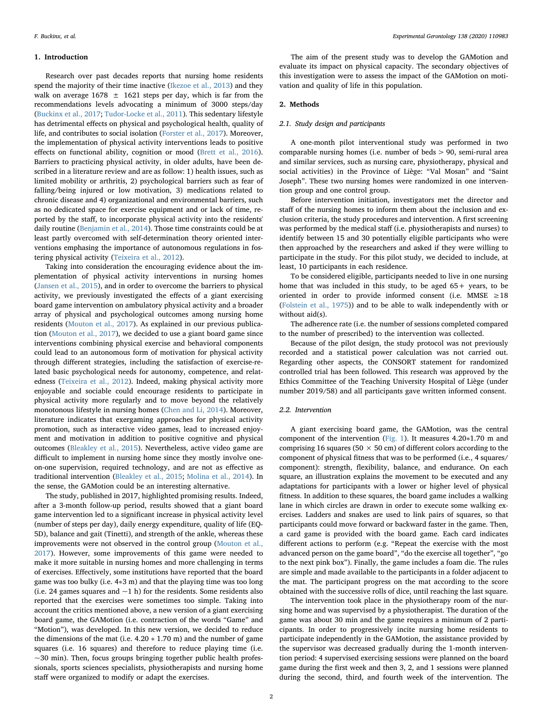## 1. Introduction

Research over past decades reports that nursing home residents spend the majority of their time inactive ([Ikezoe et al., 2013](#page-6-0)) and they walk on average  $1678 \pm 1621$  steps per day, which is far from the recommendations levels advocating a minimum of 3000 steps/day ([Buckinx et al., 2017](#page-6-1); [Tudor-Locke et al., 2011\)](#page-7-0). This sedentary lifestyle has detrimental effects on physical and psychological health, quality of life, and contributes to social isolation ([Forster et al., 2017\)](#page-6-2). Moreover, the implementation of physical activity interventions leads to positive effects on functional ability, cognition or mood [\(Brett et al., 2016](#page-6-3)). Barriers to practicing physical activity, in older adults, have been described in a literature review and are as follow: 1) health issues, such as limited mobility or arthritis, 2) psychological barriers such as fear of falling/being injured or low motivation, 3) medications related to chronic disease and 4) organizational and environmental barriers, such as no dedicated space for exercise equipment and or lack of time, reported by the staff, to incorporate physical activity into the residents' daily routine ([Benjamin et al., 2014](#page-6-4)). Those time constraints could be at least partly overcomed with self-determination theory oriented interventions emphasing the importance of autonomous regulations in fostering physical activity ([Teixeira et al., 2012\)](#page-7-1).

Taking into consideration the encouraging evidence about the implementation of physical activity interventions in nursing homes ([Jansen et al., 2015](#page-6-5)), and in order to overcome the barriers to physical activity, we previously investigated the effects of a giant exercising board game intervention on ambulatory physical activity and a broader array of physical and psychological outcomes among nursing home residents ([Mouton et al., 2017](#page-7-2)). As explained in our previous publication ([Mouton et al., 2017\)](#page-7-2), we decided to use a giant board game since interventions combining physical exercise and behavioral components could lead to an autonomous form of motivation for physical activity through different strategies, including the satisfaction of exercise-related basic psychological needs for autonomy, competence, and relatedness [\(Teixeira et al., 2012](#page-7-1)). Indeed, making physical activity more enjoyable and sociable could encourage residents to participate in physical activity more regularly and to move beyond the relatively monotonous lifestyle in nursing homes ([Chen and Li, 2014\)](#page-6-6). Moreover, literature indicates that exergaming approaches for physical activity promotion, such as interactive video games, lead to increased enjoyment and motivation in addition to positive cognitive and physical outcomes [\(Bleakley et al., 2015](#page-6-7)). Nevertheless, active video game are difficult to implement in nursing home since they mostly involve oneon-one supervision, required technology, and are not as effective as traditional intervention ([Bleakley et al., 2015](#page-6-7); [Molina et al., 2014\)](#page-6-8). In the sense, the GAMotion could be an interesting alternative.

The study, published in 2017, highlighted promising results. Indeed, after a 3-month follow-up period, results showed that a giant board game intervention led to a significant increase in physical activity level (number of steps per day), daily energy expenditure, quality of life (EQ-5D), balance and gait (Tinetti), and strength of the ankle, whereas these improvements were not observed in the control group [\(Mouton et al.,](#page-7-2) [2017\)](#page-7-2). However, some improvements of this game were needed to make it more suitable in nursing homes and more challenging in terms of exercises. Effectively, some institutions have reported that the board game was too bulky (i.e. 4∗3 m) and that the playing time was too long (i.e. 24 games squares and  $\sim$ 1 h) for the residents. Some residents also reported that the exercises were sometimes too simple. Taking into account the critics mentioned above, a new version of a giant exercising board game, the GAMotion (i.e. contraction of the words "Game" and "Motion"), was developed. In this new version, we decided to reduce the dimensions of the mat (i.e.  $4.20 * 1.70$  m) and the number of game squares (i.e. 16 squares) and therefore to reduce playing time (i.e.  $\sim$ 30 min). Then, focus groups bringing together public health professionals, sports sciences specialists, physiotherapists and nursing home staff were organized to modify or adapt the exercises.

The aim of the present study was to develop the GAMotion and evaluate its impact on physical capacity. The secondary objectives of this investigation were to assess the impact of the GAMotion on motivation and quality of life in this population.

#### 2. Methods

## 2.1. Study design and participants

A one-month pilot interventional study was performed in two comparable nursing homes (i.e. number of beds > 90, semi-rural area and similar services, such as nursing care, physiotherapy, physical and social activities) in the Province of Liège: "Val Mosan" and "Saint Joseph". These two nursing homes were randomized in one intervention group and one control group.

Before intervention initiation, investigators met the director and staff of the nursing homes to inform them about the inclusion and exclusion criteria, the study procedures and intervention. A first screening was performed by the medical staff (i.e. physiotherapists and nurses) to identify between 15 and 30 potentially eligible participants who were then approached by the researchers and asked if they were willing to participate in the study. For this pilot study, we decided to include, at least, 10 participants in each residence.

To be considered eligible, participants needed to live in one nursing home that was included in this study, to be aged 65+ years, to be oriented in order to provide informed consent (i.e. MMSE  $\geq$  18 ([Folstein et al., 1975](#page-6-9))) and to be able to walk independently with or without aid(s).

The adherence rate (i.e. the number of sessions completed compared to the number of prescribed) to the intervention was collected.

Because of the pilot design, the study protocol was not previously recorded and a statistical power calculation was not carried out. Regarding other aspects, the CONSORT statement for randomized controlled trial has been followed. This research was approved by the Ethics Committee of the Teaching University Hospital of Liège (under number 2019/58) and all participants gave written informed consent.

## 2.2. Intervention

A giant exercising board game, the GAMotion, was the central component of the intervention ([Fig. 1\)](#page-2-0). It measures 4.20∗1.70 m and comprising 16 squares (50  $\times$  50 cm) of different colors according to the component of physical fitness that was to be performed (i.e., 4 squares/ component): strength, flexibility, balance, and endurance. On each square, an illustration explains the movement to be executed and any adaptations for participants with a lower or higher level of physical fitness. In addition to these squares, the board game includes a walking lane in which circles are drawn in order to execute some walking exercises. Ladders and snakes are used to link pairs of squares, so that participants could move forward or backward faster in the game. Then, a card game is provided with the board game. Each card indicates different actions to perform (e.g. "Repeat the exercise with the most advanced person on the game board", "do the exercise all together", "go to the next pink box"). Finally, the game includes a foam die. The rules are simple and made available to the participants in a folder adjacent to the mat. The participant progress on the mat according to the score obtained with the successive rolls of dice, until reaching the last square.

The intervention took place in the physiotherapy room of the nursing home and was supervised by a physiotherapist. The duration of the game was about 30 min and the game requires a minimum of 2 participants. In order to progressively incite nursing home residents to participate independently in the GAMotion, the assistance provided by the supervisor was decreased gradually during the 1-month intervention period: 4 supervised exercising sessions were planned on the board game during the first week and then 3, 2, and 1 sessions were planned during the second, third, and fourth week of the intervention. The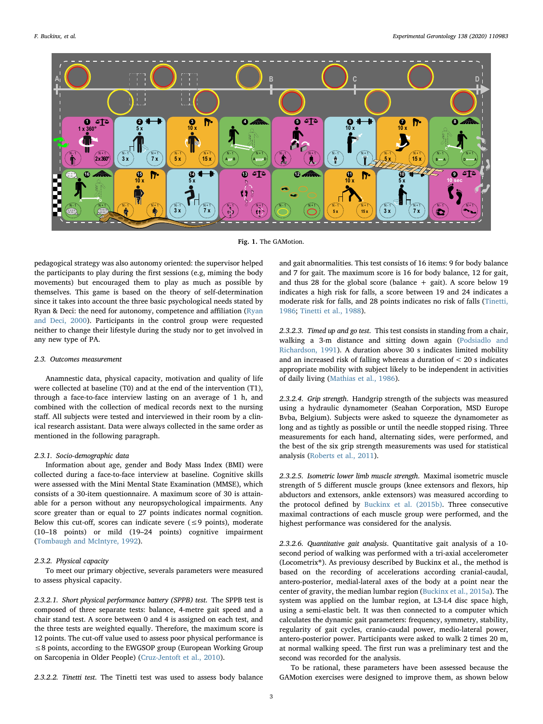<span id="page-2-0"></span>

Fig. 1. The GAMotion.

pedagogical strategy was also autonomy oriented: the supervisor helped the participants to play during the first sessions (e.g, miming the body movements) but encouraged them to play as much as possible by themselves. This game is based on the theory of self-determination since it takes into account the three basic psychological needs stated by Ryan & Deci: the need for autonomy, competence and affiliation ([Ryan](#page-7-3) [and Deci, 2000](#page-7-3)). Participants in the control group were requested neither to change their lifestyle during the study nor to get involved in any new type of PA.

## 2.3. Outcomes measurement

Anamnestic data, physical capacity, motivation and quality of life were collected at baseline (T0) and at the end of the intervention (T1), through a face-to-face interview lasting on an average of 1 h, and combined with the collection of medical records next to the nursing staff. All subjects were tested and interviewed in their room by a clinical research assistant. Data were always collected in the same order as mentioned in the following paragraph.

## 2.3.1. Socio-demographic data

Information about age, gender and Body Mass Index (BMI) were collected during a face-to-face interview at baseline. Cognitive skills were assessed with the Mini Mental State Examination (MMSE), which consists of a 30-item questionnaire. A maximum score of 30 is attainable for a person without any neuropsychological impairments. Any score greater than or equal to 27 points indicates normal cognition. Below this cut-off, scores can indicate severe ( $\leq$ 9 points), moderate (10–18 points) or mild (19–24 points) cognitive impairment ([Tombaugh and McIntyre, 1992](#page-7-4)).

## 2.3.2. Physical capacity

To meet our primary objective, severals parameters were measured to assess physical capacity.

2.3.2.1. Short physical performance battery (SPPB) test. The SPPB test is composed of three separate tests: balance, 4-metre gait speed and a chair stand test. A score between 0 and 4 is assigned on each test, and the three tests are weighted equally. Therefore, the maximum score is 12 points. The cut-off value used to assess poor physical performance is ≤8 points, according to the EWGSOP group (European Working Group on Sarcopenia in Older People) ([Cruz-Jentoft et al., 2010\)](#page-6-10).

2.3.2.2. Tinetti test. The Tinetti test was used to assess body balance

and gait abnormalities. This test consists of 16 items: 9 for body balance and 7 for gait. The maximum score is 16 for body balance, 12 for gait, and thus 28 for the global score (balance  $+$  gait). A score below 19 indicates a high risk for falls, a score between 19 and 24 indicates a moderate risk for falls, and 28 points indicates no risk of falls ([Tinetti,](#page-7-5) [1986;](#page-7-5) [Tinetti et al., 1988](#page-7-6)).

2.3.2.3. Timed up and go test. This test consists in standing from a chair, walking a 3-m distance and sitting down again ([Podsiadlo and](#page-7-7) [Richardson, 1991\)](#page-7-7). A duration above 30 s indicates limited mobility and an increased risk of falling whereas a duration of < 20 s indicates appropriate mobility with subject likely to be independent in activities of daily living [\(Mathias et al., 1986\)](#page-6-11).

2.3.2.4. Grip strength. Handgrip strength of the subjects was measured using a hydraulic dynamometer (Seahan Corporation, MSD Europe Bvba, Belgium). Subjects were asked to squeeze the dynamometer as long and as tightly as possible or until the needle stopped rising. Three measurements for each hand, alternating sides, were performed, and the best of the six grip strength measurements was used for statistical analysis [\(Roberts et al., 2011](#page-7-8)).

2.3.2.5. Isometric lower limb muscle strength. Maximal isometric muscle strength of 5 different muscle groups (knee extensors and flexors, hip abductors and extensors, ankle extensors) was measured according to the protocol defined by [Buckinx et al. \(2015b\)](#page-6-12). Three consecutive maximal contractions of each muscle group were performed, and the highest performance was considered for the analysis.

2.3.2.6. Quantitative gait analysis. Quantitative gait analysis of a 10 second period of walking was performed with a tri-axial accelerometer (Locometrix®). As previousy described by Buckinx et al., the method is based on the recording of accelerations according cranial-caudal, antero-posterior, medial-lateral axes of the body at a point near the center of gravity, the median lumbar region ([Buckinx et al., 2015a](#page-6-13)). The system was applied on the lumbar region, at L3-L4 disc space high, using a semi-elastic belt. It was then connected to a computer which calculates the dynamic gait parameters: frequency, symmetry, stability, regularity of gait cycles, cranio-caudal power, medio-lateral power, antero-posterior power. Participants were asked to walk 2 times 20 m, at normal walking speed. The first run was a preliminary test and the second was recorded for the analysis.

To be rational, these parameters have been assessed because the GAMotion exercises were designed to improve them, as shown below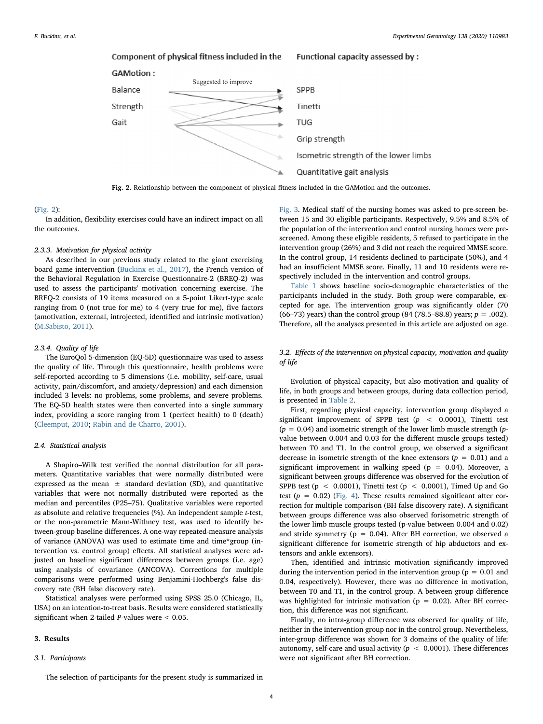<span id="page-3-0"></span>

Fig. 2. Relationship between the component of physical fitness included in the GAMotion and the outcomes.

### ([Fig. 2\)](#page-3-0):

In addition, flexibility exercises could have an indirect impact on all the outcomes.

## 2.3.3. Motivation for physical activity

As described in our previous study related to the giant exercising board game intervention ([Buckinx et al., 2017](#page-6-1)), the French version of the Behavioral Regulation in Exercise Questionnaire-2 (BREQ-2) was used to assess the participants' motivation concerning exercise. The BREQ-2 consists of 19 items measured on a 5-point Likert-type scale ranging from 0 (not true for me) to 4 (very true for me), five factors (amotivation, external, introjected, identified and intrinsic motivation) ([M.Sabisto, 2011\)](#page-6-14).

## 2.3.4. Quality of life

The EuroQol 5-dimension (EQ-5D) questionnaire was used to assess the quality of life. Through this questionnaire, health problems were self-reported according to 5 dimensions (i.e. mobility, self-care, usual activity, pain/discomfort, and anxiety/depression) and each dimension included 3 levels: no problems, some problems, and severe problems. The EQ-5D health states were then converted into a single summary index, providing a score ranging from 1 (perfect health) to 0 (death) ([Cleemput, 2010](#page-6-15); [Rabin and de Charro, 2001](#page-7-9)).

## 2.4. Statistical analysis

A Shapiro–Wilk test verified the normal distribution for all parameters. Quantitative variables that were normally distributed were expressed as the mean  $\pm$  standard deviation (SD), and quantitative variables that were not normally distributed were reported as the median and percentiles (P25–75). Qualitative variables were reported as absolute and relative frequencies (%). An independent sample t-test, or the non-parametric Mann-Withney test, was used to identify between-group baseline differences. A one-way repeated-measure analysis of variance (ANOVA) was used to estimate time and time\*group (intervention vs. control group) effects. All statistical analyses were adjusted on baseline significant differences between groups (i.e. age) using analysis of covariance (ANCOVA). Corrections for multiple comparisons were performed using Benjamini-Hochberg's false discovery rate (BH false discovery rate).

Statistical analyses were performed using SPSS 25.0 (Chicago, IL, USA) on an intention-to-treat basis. Results were considered statistically significant when 2-tailed *P*-values were  $< 0.05$ .

#### 3. Results

## 3.1. Participants

The selection of participants for the present study is summarized in

[Fig. 3](#page-4-0). Medical staff of the nursing homes was asked to pre-screen between 15 and 30 eligible participants. Respectively, 9.5% and 8.5% of the population of the intervention and control nursing homes were prescreened. Among these eligible residents, 5 refused to participate in the intervention group (26%) and 3 did not reach the required MMSE score. In the control group, 14 residents declined to participate (50%), and 4 had an insufficient MMSE score. Finally, 11 and 10 residents were respectively included in the intervention and control groups.

[Table 1](#page-4-1) shows baseline socio-demographic characteristics of the participants included in the study. Both group were comparable, excepted for age. The intervention group was significantly older (70 (66–73) years) than the control group (84 (78.5–88.8) years;  $p = .002$ ). Therefore, all the analyses presented in this article are adjusted on age.

# 3.2. Effects of the intervention on physical capacity, motivation and quality of life

Evolution of physical capacity, but also motivation and quality of life, in both groups and between groups, during data collection period, is presented in [Table 2.](#page-5-0)

First, regarding physical capacity, intervention group displayed a significant improvement of SPPB test  $(p < 0.0001)$ , Tinetti test  $(p = 0.04)$  and isometric strength of the lower limb muscle strength  $(p$ value between 0.004 and 0.03 for the different muscle groups tested) between T0 and T1. In the control group, we observed a significant decrease in isometric strength of the knee extensors ( $p = 0.01$ ) and a significant improvement in walking speed ( $p = 0.04$ ). Moreover, a significant between groups difference was observed for the evolution of SPPB test ( $p < 0.0001$ ), Tinetti test ( $p < 0.0001$ ), Timed Up and Go test ( $p = 0.02$ ) ([Fig. 4\)](#page-6-16). These results remained significant after correction for multiple comparison (BH false discovery rate). A significant between groups difference was also observed forisometric strength of the lower limb muscle groups tested (p-value between 0.004 and 0.02) and stride symmetry ( $p = 0.04$ ). After BH correction, we observed a significant difference for isometric strength of hip abductors and extensors and ankle extensors).

Then, identified and intrinsic motivation significantly improved during the intervention period in the intervention group ( $p = 0.01$  and 0.04, respectively). However, there was no difference in motivation, between T0 and T1, in the control group. A between group difference was highlighted for intrinsic motivation ( $p = 0.02$ ). After BH correction, this difference was not significant.

Finally, no intra-group difference was observed for quality of life, neither in the intervention group nor in the control group. Nevertheless, inter-group difference was shown for 3 domains of the quality of life: autonomy, self-care and usual activity ( $p < 0.0001$ ). These differences were not significant after BH correction.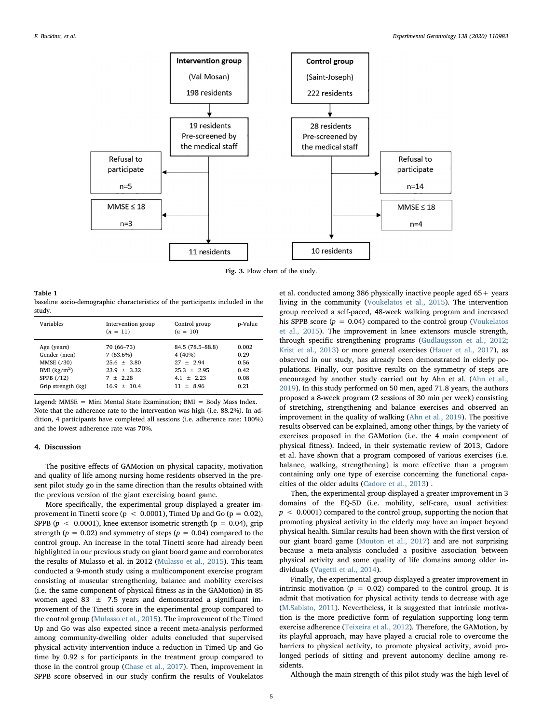<span id="page-4-0"></span>

Fig. 3. Flow chart of the study.

#### <span id="page-4-1"></span>Table 1

baseline socio-demographic characteristics of the participants included in the study.

| Variables          | Intervention group<br>$(n = 11)$ | Control group<br>$(n = 10)$ | p-Value |
|--------------------|----------------------------------|-----------------------------|---------|
| Age (years)        | 70 (66-73)                       | 84.5 (78.5-88.8)            | 0.002   |
| Gender (men)       | $7(63.6\%)$                      | $4(40\%)$                   | 0.29    |
| MMSE (/30)         | $25.6 + 3.80$                    | $27 + 2.94$                 | 0.56    |
| BMI $(kg/m2)$      | $23.9 + 3.32$                    | $25.3 + 2.95$               | 0.42    |
| SPPB $(712)$       | $7 + 2.28$                       | $4.1 + 2.23$                | 0.08    |
| Grip strength (kg) | $16.9 + 10.4$                    | $11 + 8.96$                 | 0.21    |

Legend: MMSE = Mini Mental State Examination; BMI = Body Mass Index. Note that the adherence rate to the intervention was high (i.e. 88.2%). In addition, 4 participants have completed all sessions (i.e. adherence rate: 100%) and the lowest adherence rate was 70%.

## 4. Discussion

The positive effects of GAMotion on physical capacity, motivation and quality of life among nursing home residents observed in the present pilot study go in the same direction than the results obtained with the previous version of the giant exercising board game.

More specifically, the experimental group displayed a greater improvement in Tinetti score ( $p < 0.0001$ ), Timed Up and Go ( $p = 0.02$ ), SPPB ( $p < 0.0001$ ), knee extensor isometric strength ( $p = 0.04$ ), grip strength ( $p = 0.02$ ) and symmetry of steps ( $p = 0.04$ ) compared to the control group. An increase in the total Tinetti score had already been highlighted in our previous study on giant board game and corroborates the results of Mulasso et al. in 2012 ([Mulasso et al., 2015](#page-7-10)). This team conducted a 9-month study using a multicomponent exercise program consisting of muscular strengthening, balance and mobility exercises (i.e. the same component of physical fitness as in the GAMotion) in 85 women aged 83  $\pm$  7.5 years and demonstrated a significant improvement of the Tinetti score in the experimental group compared to the control group [\(Mulasso et al., 2015](#page-7-10)). The improvement of the Timed Up and Go was also expected since a recent meta-analysis performed among community-dwelling older adults concluded that supervised physical activity intervention induce a reduction in Timed Up and Go time by 0.92 s for participants in the treatment group compared to those in the control group ([Chase et al., 2017](#page-6-17)). Then, improvement in SPPB score observed in our study confirm the results of Voukelatos et al. conducted among 386 physically inactive people aged 65+ years living in the community ([Voukelatos et al., 2015](#page-7-11)). The intervention group received a self-paced, 48-week walking program and increased his SPPB score ( $p = 0.04$ ) compared to the control group ([Voukelatos](#page-7-11) [et al., 2015](#page-7-11)). The improvement in knee extensors muscle strength, through specific strengthening programs ([Gudlaugsson et al., 2012](#page-6-18); [Krist et al., 2013\)](#page-6-19) or more general exercises ([Hauer et al., 2017\)](#page-6-20), as observed in our study, has already been demonstrated in elderly populations. Finally, our positive results on the symmetry of steps are encouraged by another study carried out by Ahn et al. [\(Ahn et al.,](#page-6-21) [2019\)](#page-6-21). In this study performed on 50 men, aged 71.8 years, the authors proposed a 8-week program (2 sessions of 30 min per week) consisting of stretching, strengthening and balance exercises and observed an improvement in the quality of walking [\(Ahn et al., 2019\)](#page-6-21). The positive results observed can be explained, among other things, by the variety of exercises proposed in the GAMotion (i.e. the 4 main component of physical fitness). Indeed, in their systematic review of 2013, Cadore et al. have shown that a program composed of various exercises (i.e. balance, walking, strengthening) is more effective than a program containing only one type of exercise concerning the functional capacities of the older adults ([Cadore et al., 2013](#page-6-22)) .

Then, the experimental group displayed a greater improvement in 3 domains of the EQ-5D (i.e. mobility, self-care, usual activities:  $p < 0.0001$ ) compared to the control group, supporting the notion that promoting physical activity in the elderly may have an impact beyond physical health. Similar results had been shown with the first version of our giant board game [\(Mouton et al., 2017\)](#page-7-2) and are not surprising because a meta-analysis concluded a positive association between physical activity and some quality of life domains among older individuals (Vagetti [et al., 2014](#page-7-12)).

Finally, the experimental group displayed a greater improvement in intrinsic motivation ( $p = 0.02$ ) compared to the control group. It is admit that motivation for physical activity tends to decrease with age ([M.Sabisto, 2011\)](#page-6-14). Nevertheless, it is suggested that intrinsic motivation is the more predictive form of regulation supporting long-term exercise adherence [\(Teixeira et al., 2012](#page-7-1)). Therefore, the GAMotion, by its playful approach, may have played a crucial role to overcome the barriers to physical activity, to promote physical activity, avoid prolonged periods of sitting and prevent autonomy decline among residents.

Although the main strength of this pilot study was the high level of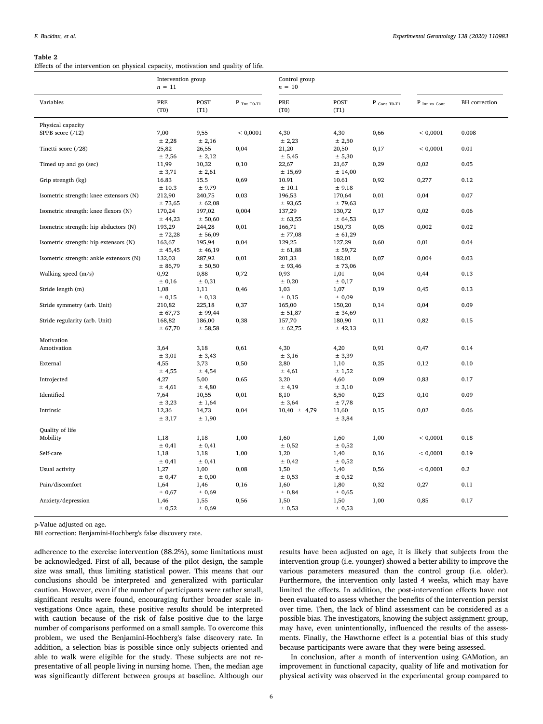#### <span id="page-5-0"></span>Table 2

Effects of the intervention on physical capacity, motivation and quality of life.

|                                         | Intervention group<br>$n = 11$ |                   | Control group<br>$n = 10$ |                   |                   |                         |                 |               |
|-----------------------------------------|--------------------------------|-------------------|---------------------------|-------------------|-------------------|-------------------------|-----------------|---------------|
| Variables                               | PRE<br>(T0)                    | POST<br>(T1)      | $P$ Tnt T0-T1             | PRE<br>(T0)       | POST<br>(T1)      | $P_{\text{Cont TO-T1}}$ | $P$ Int vs Cont | BH correction |
| Physical capacity                       |                                |                   |                           |                   |                   |                         |                 |               |
| SPPB score $(712)$                      | 7,00<br>± 2,28                 | 9,55<br>± 2,16    | < 0,0001                  | 4,30<br>± 2,23    | 4,30<br>± 2,50    | 0,66                    | < 0,0001        | 0.008         |
| Tinetti score (/28)                     | 25,82<br>± 2,56                | 26,55<br>± 2,12   | 0,04                      | 21,20<br>± 5,45   | 20,50<br>± 5,30   | 0,17                    | < 0,0001        | 0.01          |
| Timed up and go (sec)                   | 11,99<br>± 3,71                | 10,32<br>± 2,61   | 0,10                      | 22,67<br>± 15,69  | 21,67<br>± 14,00  | 0,29                    | 0,02            | 0.05          |
| Grip strength (kg)                      | 16.83<br>±10.3                 | 15.5<br>± 9.79    | 0,69                      | 10.91<br>± 10.1   | 10.61<br>± 9.18   | 0,92                    | 0,277           | 0.12          |
| Isometric strength: knee extensors (N)  | 212,90<br>± 73,65              | 240,75<br>± 62,08 | 0,03                      | 196,53<br>± 93,65 | 170,64<br>± 79,63 | 0,01                    | 0,04            | 0.07          |
| Isometric strength: knee flexors (N)    | 170,24<br>± 44,23              | 197,02<br>± 50,60 | 0,004                     | 137,29<br>± 63,55 | 130,72<br>± 64,53 | 0,17                    | 0,02            | 0.06          |
| Isometric strength: hip abductors (N)   | 193,29<br>± 72,28              | 244,28<br>± 56,09 | 0,01                      | 166,71<br>± 77,08 | 150,73<br>± 61,29 | 0,05                    | 0,002           | 0.02          |
| Isometric strength: hip extensors (N)   | 163,67<br>± 45,45              | 195,94<br>± 46,19 | 0,04                      | 129,25<br>± 61,88 | 127,29<br>± 59,72 | 0,60                    | 0,01            | 0.04          |
| Isometric strength: ankle extensors (N) | 132,03<br>± 86,79              | 287,92<br>± 50,50 | 0,01                      | 201,33<br>± 93,46 | 182,01<br>± 73,06 | 0,07                    | 0,004           | 0.03          |
| Walking speed $(m/s)$                   | 0,92<br>± 0,16                 | 0,88<br>± 0,31    | 0,72                      | 0,93<br>± 0,20    | 1,01<br>± 0,17    | 0,04                    | 0,44            | 0.13          |
| Stride length (m)                       | 1,08<br>± 0,15                 | 1,11<br>± 0,13    | 0,46                      | 1,03<br>± 0,15    | 1,07<br>± 0,09    | 0,19                    | 0,45            | 0.13          |
| Stride symmetry (arb. Unit)             | 210,82<br>± 67,73              | 225,18<br>± 99,44 | 0,37                      | 165,00<br>± 51,87 | 150,20<br>± 34,69 | 0,14                    | 0,04            | 0.09          |
| Stride regularity (arb. Unit)           | 168,82<br>± 67,70              | 186,00<br>± 58,58 | 0,38                      | 157,70<br>± 62,75 | 180,90<br>± 42,13 | 0,11                    | 0,82            | 0.15          |
| Motivation                              |                                |                   |                           |                   |                   |                         |                 |               |
| Amotivation                             | 3,64<br>± 3,01                 | 3,18<br>± 3,43    | 0,61                      | 4,30<br>± 3,16    | 4,20<br>± 3,39    | 0,91                    | 0,47            | 0.14          |
| External                                | 4,55<br>± 4,55                 | 3,73<br>± 4,54    | 0,50                      | 2,80<br>± 4,61    | 1,10<br>± 1,52    | 0,25                    | 0,12            | 0.10          |
| Introjected                             | 4,27<br>± 4,61                 | 5,00<br>$±$ 4,80  | 0,65                      | 3,20<br>± 4,19    | 4,60<br>± 3,10    | 0,09                    | 0,83            | 0.17          |
| Identified                              | 7,64<br>± 3,23                 | 10,55<br>± 1,64   | 0,01                      | 8,10<br>± 3,64    | 8,50<br>± 7,78    | 0,23                    | 0,10            | 0.09          |
| Intrinsic                               | 12,36<br>± 3,17                | 14,73<br>± 1,90   | 0,04                      | $10,40 \pm 4,79$  | 11,60<br>± 3,84   | 0,15                    | 0,02            | 0.06          |
| Quality of life                         |                                |                   |                           |                   |                   |                         |                 |               |
| Mobility                                | 1,18<br>± 0,41                 | 1,18<br>± 0,41    | 1,00                      | 1,60<br>± 0,52    | 1,60<br>± 0,52    | 1,00                    | < 0,0001        | 0.18          |
| Self-care                               | 1,18<br>± 0,41                 | 1,18<br>± 0,41    | 1,00                      | 1,20<br>± 0,42    | 1,40<br>± 0,52    | 0,16                    | < 0,0001        | 0.19          |
| Usual activity                          | 1,27<br>± 0,47                 | 1,00<br>± 0,00    | 0,08                      | 1,50<br>± 0,53    | 1,40<br>± 0,52    | 0,56                    | < 0,0001        | 0.2           |
| Pain/discomfort                         | 1,64<br>± 0,67                 | 1,46<br>± 0,69    | 0,16                      | 1,60<br>± 0,84    | 1,80<br>± 0,65    | 0,32                    | 0,27            | 0.11          |
| Anxiety/depression                      | 1,46<br>± 0,52                 | 1,55<br>± 0,69    | 0,56                      | 1,50<br>± 0,53    | 1,50<br>± 0,53    | 1,00                    | 0,85            | 0.17          |

p-Value adjusted on age.

BH correction: Benjamini-Hochberg's false discovery rate.

adherence to the exercise intervention (88.2%), some limitations must be acknowledged. First of all, because of the pilot design, the sample size was small, thus limiting statistical power. This means that our conclusions should be interpreted and generalized with particular caution. However, even if the number of participants were rather small, significant results were found, encouraging further broader scale investigations Once again, these positive results should be interpreted with caution because of the risk of false positive due to the large number of comparisons performed on a small sample. To overcome this problem, we used the Benjamini-Hochberg's false discovery rate. In addition, a selection bias is possible since only subjects oriented and able to walk were eligible for the study. These subjects are not representative of all people living in nursing home. Then, the median age was significantly different between groups at baseline. Although our

results have been adjusted on age, it is likely that subjects from the intervention group (i.e. younger) showed a better ability to improve the various parameters measured than the control group (i.e. older). Furthermore, the intervention only lasted 4 weeks, which may have limited the effects. In addition, the post-intervention effects have not been evaluated to assess whether the benefits of the intervention persist over time. Then, the lack of blind assessment can be considered as a possible bias. The investigators, knowing the subject assignment group, may have, even unintentionally, influenced the results of the assessments. Finally, the Hawthorne effect is a potential bias of this study because participants were aware that they were being assessed.

In conclusion, after a month of intervention using GAMotion, an improvement in functional capacity, quality of life and motivation for physical activity was observed in the experimental group compared to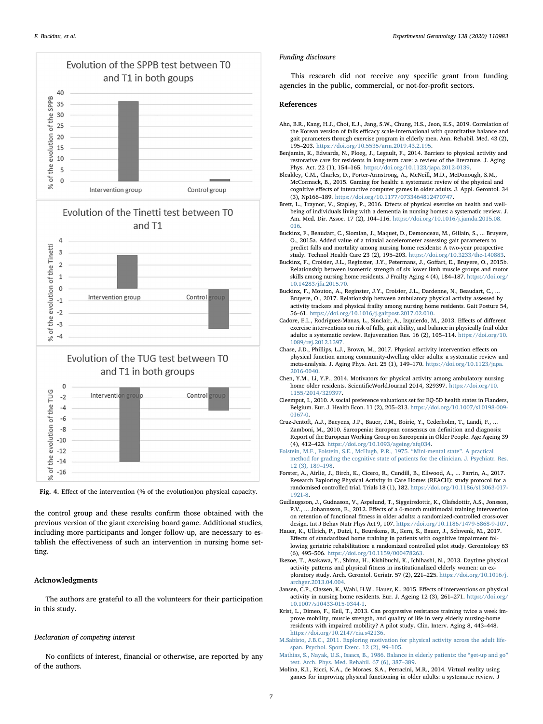<span id="page-6-16"></span>



and T1 in both groups





the control group and these results confirm those obtained with the previous version of the giant exercising board game. Additional studies, including more participants and longer follow-up, are necessary to establish the effectiveness of such an intervention in nursing home setting.

# Acknowledgments

The authors are grateful to all the volunteers for their participation in this study.

## Declaration of competing interest

No conflicts of interest, financial or otherwise, are reported by any of the authors.

#### Funding disclosure

This research did not receive any specific grant from funding agencies in the public, commercial, or not-for-profit sectors.

### References

- <span id="page-6-21"></span>Ahn, B.R., Kang, H.J., Choi, E.J., Jang, S.W., Chung, H.S., Jeon, K.S., 2019. Correlation of the Korean version of falls efficacy scale-international with quantitative balance and gait parameters through exercise program in elderly men. Ann. Rehabil. Med. 43 (2), 195–203. <https://doi.org/10.5535/arm.2019.43.2.195>.
- <span id="page-6-4"></span>Benjamin, K., Edwards, N., Ploeg, J., Legault, F., 2014. Barriers to physical activity and restorative care for residents in long-term care: a review of the literature. J. Aging Phys. Act. 22 (1), 154–165. [https://doi.org/10.1123/japa.2012-0139.](https://doi.org/10.1123/japa.2012-0139)
- <span id="page-6-7"></span>Bleakley, C.M., Charles, D., Porter-Armstrong, A., McNeill, M.D., McDonough, S.M., McCormack, B., 2015. Gaming for health: a systematic review of the physical and cognitive effects of interactive computer games in older adults. J. Appl. Gerontol. 34 (3), Np166–189. [https://doi.org/10.1177/0733464812470747.](https://doi.org/10.1177/0733464812470747)
- <span id="page-6-3"></span>Brett, L., Traynor, V., Stapley, P., 2016. Effects of physical exercise on health and wellbeing of individuals living with a dementia in nursing homes: a systematic review. J. Am. Med. Dir. Assoc. 17 (2), 104–116. [https://doi.org/10.1016/j.jamda.2015.08.](https://doi.org/10.1016/j.jamda.2015.08.016) [016](https://doi.org/10.1016/j.jamda.2015.08.016).
- <span id="page-6-13"></span>Buckinx, F., Beaudart, C., Slomian, J., Maquet, D., Demonceau, M., Gillain, S., ... Bruyere, O., 2015a. Added value of a triaxial accelerometer assessing gait parameters to predict falls and mortality among nursing home residents: A two-year prospective study. Technol Health Care 23 (2), 195–203. [https://doi.org/10.3233/thc-140883.](https://doi.org/10.3233/thc-140883)
- <span id="page-6-12"></span>Buckinx, F., Croisier, J.L., Reginster, J.Y., Petermans, J., Goffart, E., Bruyere, O., 2015b. Relationship between isometric strength of six lower limb muscle groups and motor skills among nursing home residents. J Frailty Aging 4 (4), 184–187. [https://doi.org/](https://doi.org/10.14283/jfa.2015.70) [10.14283/jfa.2015.70.](https://doi.org/10.14283/jfa.2015.70)
- <span id="page-6-1"></span>Buckinx, F., Mouton, A., Reginster, J.Y., Croisier, J.L., Dardenne, N., Beaudart, C., Bruyere, O., 2017. Relationship between ambulatory physical activity assessed by activity trackers and physical frailty among nursing home residents. Gait Posture 54, 56–61. [https://doi.org/10.1016/j.gaitpost.2017.02.010.](https://doi.org/10.1016/j.gaitpost.2017.02.010)
- <span id="page-6-22"></span>Cadore, E.L., Rodriguez-Manas, L., Sinclair, A., Izquierdo, M., 2013. Effects of different exercise interventions on risk of falls, gait ability, and balance in physically frail older adults: a systematic review. Rejuvenation Res. 16 (2), 105–114. [https://doi.org/10.](https://doi.org/10.1089/rej.2012.1397) [1089/rej.2012.1397.](https://doi.org/10.1089/rej.2012.1397)
- <span id="page-6-17"></span>Chase, J.D., Phillips, L.J., Brown, M., 2017. Physical activity intervention effects on physical function among community-dwelling older adults: a systematic review and meta-analysis. J. Aging Phys. Act. 25 (1), 149–170. [https://doi.org/10.1123/japa.](https://doi.org/10.1123/japa.2016-0040) [2016-0040](https://doi.org/10.1123/japa.2016-0040).
- <span id="page-6-6"></span>Chen, Y.M., Li, Y.P., 2014. Motivators for physical activity among ambulatory nursing home older residents. ScientificWorldJournal 2014, 329397. [https://doi.org/10.](https://doi.org/10.1155/2014/329397) [1155/2014/329397](https://doi.org/10.1155/2014/329397).
- <span id="page-6-15"></span>Cleemput, I., 2010. A social preference valuations set for EQ-5D health states in Flanders, Belgium. Eur. J. Health Econ. 11 (2), 205–213. [https://doi.org/10.1007/s10198-009-](https://doi.org/10.1007/s10198-009-0167-0) [0167-0.](https://doi.org/10.1007/s10198-009-0167-0)
- <span id="page-6-10"></span>Cruz-Jentoft, A.J., Baeyens, J.P., Bauer, J.M., Boirie, Y., Cederholm, T., Landi, F., ... Zamboni, M., 2010. Sarcopenia: European consensus on definition and diagnosis: Report of the European Working Group on Sarcopenia in Older People. Age Ageing 39 (4), 412–423. [https://doi.org/10.1093/ageing/afq034.](https://doi.org/10.1093/ageing/afq034)
- <span id="page-6-9"></span>[Folstein, M.F., Folstein, S.E., McHugh, P.R., 1975.](http://refhub.elsevier.com/S0531-5565(20)30331-4/rf0065) "Mini-mental state". A practical [method for grading the cognitive state of patients for the clinician. J. Psychiatr. Res.](http://refhub.elsevier.com/S0531-5565(20)30331-4/rf0065) [12 \(3\), 189](http://refhub.elsevier.com/S0531-5565(20)30331-4/rf0065)–198.
- <span id="page-6-2"></span>Forster, A., Airlie, J., Birch, K., Cicero, R., Cundill, B., Ellwood, A., ... Farrin, A., 2017. Research Exploring Physical Activity in Care Homes (REACH): study protocol for a randomised controlled trial. Trials 18 (1), 182. [https://doi.org/10.1186/s13063-017-](https://doi.org/10.1186/s13063-017-1921-8) [1921-8.](https://doi.org/10.1186/s13063-017-1921-8)
- <span id="page-6-18"></span>Gudlaugsson, J., Gudnason, V., Aspelund, T., Siggeirsdottir, K., Olafsdottir, A.S., Jonsson, P.V., ... Johannsson, E., 2012. Effects of a 6-month multimodal training intervention on retention of functional fitness in older adults: a randomized-controlled cross-over design. Int J Behav Nutr Phys Act 9, 107. [https://doi.org/10.1186/1479-5868-9-107.](https://doi.org/10.1186/1479-5868-9-107)
- <span id="page-6-20"></span>Hauer, K., Ullrich, P., Dutzi, I., Beurskens, R., Kern, S., Bauer, J., Schwenk, M., 2017. Effects of standardized home training in patients with cognitive impairment following geriatric rehabilitation: a randomized controlled pilot study. Gerontology 63 (6), 495–506. [https://doi.org/10.1159/000478263.](https://doi.org/10.1159/000478263)
- <span id="page-6-0"></span>Ikezoe, T., Asakawa, Y., Shima, H., Kishibuchi, K., Ichihashi, N., 2013. Daytime physical activity patterns and physical fitness in institutionalized elderly women: an exploratory study. Arch. Gerontol. Geriatr. 57 (2), 221–225. [https://doi.org/10.1016/j.](https://doi.org/10.1016/j.archger.2013.04.004) [archger.2013.04.004.](https://doi.org/10.1016/j.archger.2013.04.004)
- <span id="page-6-5"></span>Jansen, C.P., Classen, K., Wahl, H.W., Hauer, K., 2015. Effects of interventions on physical activity in nursing home residents. Eur. J. Ageing 12 (3), 261–271. [https://doi.org/](https://doi.org/10.1007/s10433-015-0344-1) [10.1007/s10433-015-0344-1](https://doi.org/10.1007/s10433-015-0344-1).
- <span id="page-6-19"></span>Krist, L., Dimeo, F., Keil, T., 2013. Can progressive resistance training twice a week improve mobility, muscle strength, and quality of life in very elderly nursing-home residents with impaired mobility? A pilot study. Clin. Interv. Aging 8, 443–448. [https://doi.org/10.2147/cia.s42136.](https://doi.org/10.2147/cia.s42136)
- <span id="page-6-14"></span>[M.Sabisto, J.B.C., 2011. Exploring motivation for physical activity across the adult life](http://refhub.elsevier.com/S0531-5565(20)30331-4/rf0100)[span. Psychol. Sport Exerc. 12 \(2\), 99](http://refhub.elsevier.com/S0531-5565(20)30331-4/rf0100)–105.
- <span id="page-6-11"></span>[Mathias, S., Nayak, U.S., Isaacs, B., 1986. Balance in elderly patients: the](http://refhub.elsevier.com/S0531-5565(20)30331-4/rf0105) "get-up and go" [test. Arch. Phys. Med. Rehabil. 67 \(6\), 387](http://refhub.elsevier.com/S0531-5565(20)30331-4/rf0105)–389.
- <span id="page-6-8"></span>Molina, K.I., Ricci, N.A., de Moraes, S.A., Perracini, M.R., 2014. Virtual reality using games for improving physical functioning in older adults: a systematic review. J